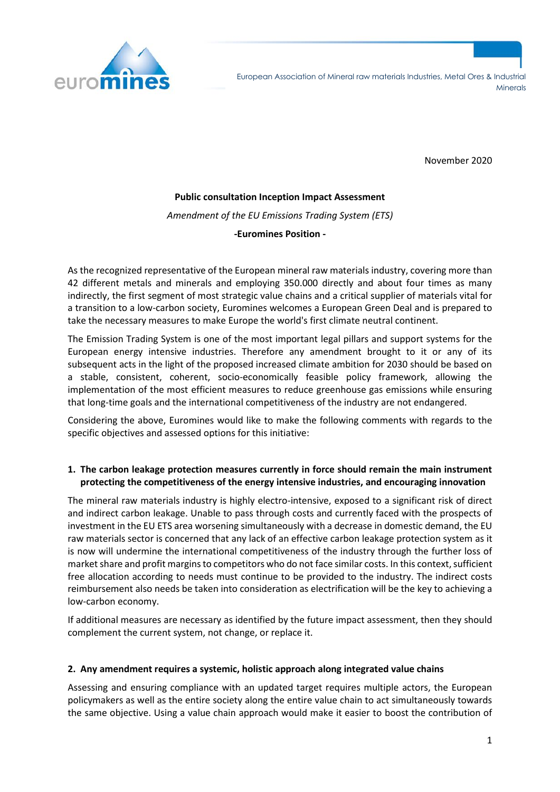

November 2020

#### **Public consultation Inception Impact Assessment**

*Amendment of the EU Emissions Trading System (ETS)*

**-Euromines Position -**

As the recognized representative of the European mineral raw materials industry, covering more than 42 different metals and minerals and employing 350.000 directly and about four times as many indirectly, the first segment of most strategic value chains and a critical supplier of materials vital for a transition to a low-carbon society, Euromines welcomes a European Green Deal and is prepared to take the necessary measures to make Europe the world's first climate neutral continent.

The Emission Trading System is one of the most important legal pillars and support systems for the European energy intensive industries. Therefore any amendment brought to it or any of its subsequent acts in the light of the proposed increased climate ambition for 2030 should be based on a stable, consistent, coherent, socio-economically feasible policy framework, allowing the implementation of the most efficient measures to reduce greenhouse gas emissions while ensuring that long-time goals and the international competitiveness of the industry are not endangered.

Considering the above, Euromines would like to make the following comments with regards to the specific objectives and assessed options for this initiative:

## **1. The carbon leakage protection measures currently in force should remain the main instrument protecting the competitiveness of the energy intensive industries, and encouraging innovation**

The mineral raw materials industry is highly electro-intensive, exposed to a significant risk of direct and indirect carbon leakage. Unable to pass through costs and currently faced with the prospects of investment in the EU ETS area worsening simultaneously with a decrease in domestic demand, the EU raw materials sector is concerned that any lack of an effective carbon leakage protection system as it is now will undermine the international competitiveness of the industry through the further loss of market share and profit margins to competitors who do not face similar costs. In this context, sufficient free allocation according to needs must continue to be provided to the industry. The indirect costs reimbursement also needs be taken into consideration as electrification will be the key to achieving a low-carbon economy.

If additional measures are necessary as identified by the future impact assessment, then they should complement the current system, not change, or replace it.

### **2. Any amendment requires a systemic, holistic approach along integrated value chains**

Assessing and ensuring compliance with an updated target requires multiple actors, the European policymakers as well as the entire society along the entire value chain to act simultaneously towards the same objective. Using a value chain approach would make it easier to boost the contribution of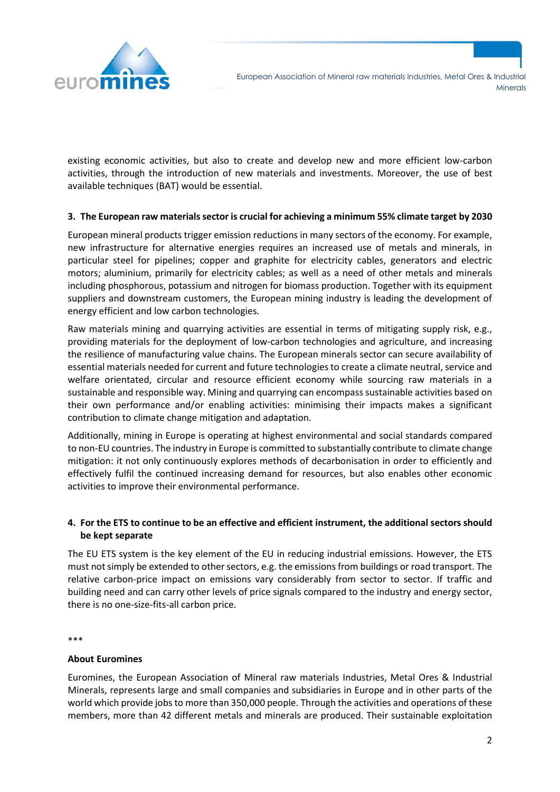

existing economic activities, but also to create and develop new and more efficient low-carbon activities, through the introduction of new materials and investments. Moreover, the use of best available techniques (BAT) would be essential.

## **3. The European raw materials sector is crucial for achieving a minimum 55% climate target by 2030**

European mineral products trigger emission reductions in many sectors of the economy. For example, new infrastructure for alternative energies requires an increased use of metals and minerals, in particular steel for pipelines; copper and graphite for electricity cables, generators and electric motors; aluminium, primarily for electricity cables; as well as a need of other metals and minerals including phosphorous, potassium and nitrogen for biomass production. Together with its equipment suppliers and downstream customers, the European mining industry is leading the development of energy efficient and low carbon technologies.

Raw materials mining and quarrying activities are essential in terms of mitigating supply risk, e.g., providing materials for the deployment of low-carbon technologies and agriculture, and increasing the resilience of manufacturing value chains. The European minerals sector can secure availability of essential materials needed for current and future technologies to create a climate neutral, service and welfare orientated, circular and resource efficient economy while sourcing raw materials in a sustainable and responsible way. Mining and quarrying can encompass sustainable activities based on their own performance and/or enabling activities: minimising their impacts makes a significant contribution to climate change mitigation and adaptation.

Additionally, mining in Europe is operating at highest environmental and social standards compared to non-EU countries. The industry in Europe is committed to substantially contribute to climate change mitigation: it not only continuously explores methods of decarbonisation in order to efficiently and effectively fulfil the continued increasing demand for resources, but also enables other economic activities to improve their environmental performance.

# **4. For the ETS to continue to be an effective and efficient instrument, the additional sectors should be kept separate**

The EU ETS system is the key element of the EU in reducing industrial emissions. However, the ETS must not simply be extended to other sectors, e.g. the emissions from buildings or road transport. The relative carbon-price impact on emissions vary considerably from sector to sector. If traffic and building need and can carry other levels of price signals compared to the industry and energy sector, there is no one-size-fits-all carbon price.

\*\*\*

### **About Euromines**

Euromines, the European Association of Mineral raw materials Industries, Metal Ores & Industrial Minerals, represents large and small companies and subsidiaries in Europe and in other parts of the world which provide jobs to more than 350,000 people. Through the activities and operations of these members, more than 42 different metals and minerals are produced. Their sustainable exploitation